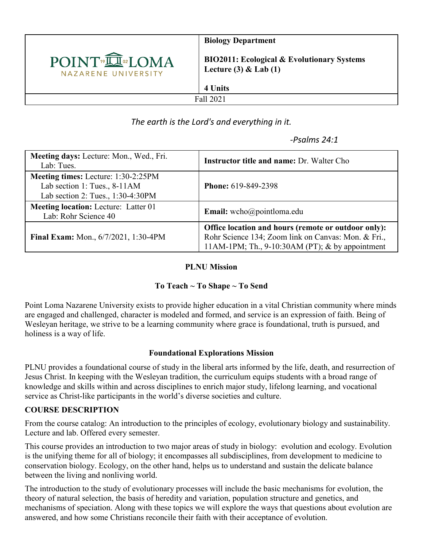

**Biology Department**

**BIO2011: Ecological & Evolutionary Systems Lecture (3) & Lab (1)**

Fall 2021

**4 Units** 

## *The earth is the Lord's and everything in it.*

## *-Psalms 24:1*

| Meeting days: Lecture: Mon., Wed., Fri.<br>Lab: Tues.                                                           | <b>Instructor title and name: Dr. Walter Cho</b>                                                                                                                |
|-----------------------------------------------------------------------------------------------------------------|-----------------------------------------------------------------------------------------------------------------------------------------------------------------|
| <b>Meeting times:</b> Lecture: 1:30-2:25PM<br>Lab section 1: Tues., 8-11AM<br>Lab section 2: Tues., 1:30-4:30PM | <b>Phone: 619-849-2398</b>                                                                                                                                      |
| <b>Meeting location:</b> Lecture: Latter 01<br>Lab: Rohr Science 40                                             | Email: wcho@pointloma.edu                                                                                                                                       |
| Final Exam: Mon., 6/7/2021, 1:30-4PM                                                                            | Office location and hours (remote or outdoor only):<br>Rohr Science 134; Zoom link on Canvas: Mon. & Fri.,<br>11AM-1PM; Th., $9-10:30AM$ (PT); & by appointment |

#### **PLNU Mission**

### **To Teach ~ To Shape ~ To Send**

Point Loma Nazarene University exists to provide higher education in a vital Christian community where minds are engaged and challenged, character is modeled and formed, and service is an expression of faith. Being of Wesleyan heritage, we strive to be a learning community where grace is foundational, truth is pursued, and holiness is a way of life.

### **Foundational Explorations Mission**

PLNU provides a foundational course of study in the liberal arts informed by the life, death, and resurrection of Jesus Christ. In keeping with the Wesleyan tradition, the curriculum equips students with a broad range of knowledge and skills within and across disciplines to enrich major study, lifelong learning, and vocational service as Christ-like participants in the world's diverse societies and culture.

### **COURSE DESCRIPTION**

From the course catalog: An introduction to the principles of ecology, evolutionary biology and sustainability. Lecture and lab. Offered every semester.

This course provides an introduction to two major areas of study in biology: evolution and ecology. Evolution is the unifying theme for all of biology; it encompasses all subdisciplines, from development to medicine to conservation biology. Ecology, on the other hand, helps us to understand and sustain the delicate balance between the living and nonliving world.

The introduction to the study of evolutionary processes will include the basic mechanisms for evolution, the theory of natural selection, the basis of heredity and variation, population structure and genetics, and mechanisms of speciation. Along with these topics we will explore the ways that questions about evolution are answered, and how some Christians reconcile their faith with their acceptance of evolution.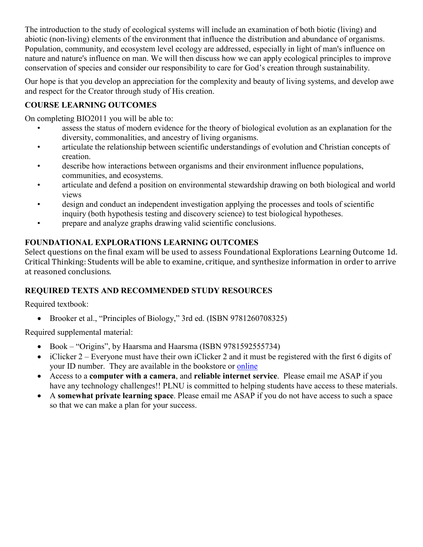The introduction to the study of ecological systems will include an examination of both biotic (living) and abiotic (non-living) elements of the environment that influence the distribution and abundance of organisms. Population, community, and ecosystem level ecology are addressed, especially in light of man's influence on nature and nature's influence on man. We will then discuss how we can apply ecological principles to improve conservation of species and consider our responsibility to care for God's creation through sustainability.

Our hope is that you develop an appreciation for the complexity and beauty of living systems, and develop awe and respect for the Creator through study of His creation.

## **COURSE LEARNING OUTCOMES**

On completing BIO2011 you will be able to:

- assess the status of modern evidence for the theory of biological evolution as an explanation for the diversity, commonalities, and ancestry of living organisms.
- articulate the relationship between scientific understandings of evolution and Christian concepts of creation.
- describe how interactions between organisms and their environment influence populations, communities, and ecosystems.
- articulate and defend a position on environmental stewardship drawing on both biological and world views
- design and conduct an independent investigation applying the processes and tools of scientific inquiry (both hypothesis testing and discovery science) to test biological hypotheses.
- prepare and analyze graphs drawing valid scientific conclusions.

**FOUNDATIONAL EXPLORATIONS LEARNING OUTCOMES**<br>Select questions on the final exam will be used to assess Foundational Explorations Learning Outcome 1d. Critical Thinking: Students will be able to examine, critique, and synthesize information in order to arrive at reasoned conclusions.

### **REQUIRED TEXTS AND RECOMMENDED STUDY RESOURCES**

Required textbook:

• Brooker et al., "Principles of Biology," 3rd ed. (ISBN 9781260708325)

Required supplemental material:

- Book "Origins", by Haarsma and Haarsma (ISBN 9781592555734)
- iClicker 2 Everyone must have their own iClicker 2 and it must be registered with the first 6 digits of your ID number. They are available in the bookstore or [online](https://store.macmillanlearning.com/us/product/iClicker2-student-remote/p/1498603041)
- Access to a **computer with a camera**, and **reliable internet service**. Please email me ASAP if you have any technology challenges!! PLNU is committed to helping students have access to these materials.
- A **somewhat private learning space**. Please email me ASAP if you do not have access to such a space so that we can make a plan for your success.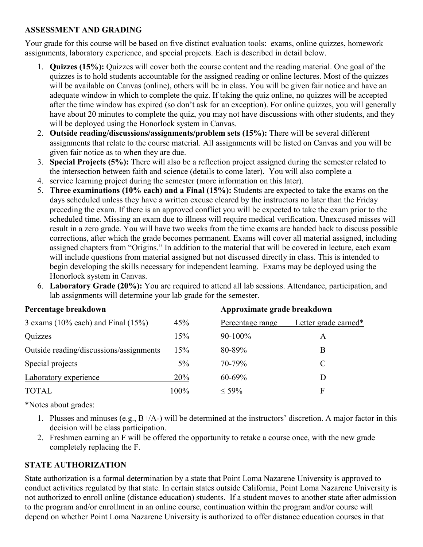#### **ASSESSMENT AND GRADING**

Your grade for this course will be based on five distinct evaluation tools: exams, online quizzes, homework assignments, laboratory experience, and special projects. Each is described in detail below.

- 1. **Quizzes (15%):** Quizzes will cover both the course content and the reading material. One goal of the quizzes is to hold students accountable for the assigned reading or online lectures. Most of the quizzes will be available on Canvas (online), others will be in class. You will be given fair notice and have an adequate window in which to complete the quiz. If taking the quiz online, no quizzes will be accepted after the time window has expired (so don't ask for an exception). For online quizzes, you will generally have about 20 minutes to complete the quiz, you may not have discussions with other students, and they will be deployed using the Honorlock system in Canvas.
- 2. **Outside reading/discussions/assignments/problem sets (15%):** There will be several different assignments that relate to the course material. All assignments will be listed on Canvas and you will be given fair notice as to when they are due.
- 3. **Special Projects (5%):** There will also be a reflection project assigned during the semester related to the intersection between faith and science (details to come later). You will also complete a
- 4. service learning project during the semester (more information on this later).
- 5. **Three examinations (10% each) and a Final (15%):** Students are expected to take the exams on the days scheduled unless they have a written excuse cleared by the instructors no later than the Friday preceding the exam. If there is an approved conflict you will be expected to take the exam prior to the scheduled time. Missing an exam due to illness will require medical verification. Unexcused misses will result in a zero grade. You will have two weeks from the time exams are handed back to discuss possible corrections, after which the grade becomes permanent. Exams will cover all material assigned, including assigned chapters from "Origins." In addition to the material that will be covered in lecture, each exam will include questions from material assigned but not discussed directly in class. This is intended to begin developing the skills necessary for independent learning. Exams may be deployed using the Honorlock system in Canvas.
- 6. **Laboratory Grade (20%):** You are required to attend all lab sessions. Attendance, participation, and lab assignments will determine your lab grade for the semester.

| Percentage breakdown                     |       | Approximate grade breakdown |                      |  |
|------------------------------------------|-------|-----------------------------|----------------------|--|
| 3 exams $(10\%$ each) and Final $(15\%)$ | 45%   | Percentage range            | Letter grade earned* |  |
| Quizzes                                  | 15%   | $90-100%$                   | A                    |  |
| Outside reading/discussions/assignments  | 15%   | 80-89%                      | В                    |  |
| Special projects                         | $5\%$ | 70-79%                      | C                    |  |
| Laboratory experience                    | 20%   | $60 - 69%$                  |                      |  |
| <b>TOTAL</b>                             | 100%  | $< 59\%$                    | F                    |  |

\*Notes about grades:

- 1. Plusses and minuses (e.g., B+/A-) will be determined at the instructors' discretion. A major factor in this decision will be class participation.
- 2. Freshmen earning an F will be offered the opportunity to retake a course once, with the new grade completely replacing the F.

### **STATE AUTHORIZATION**

State authorization is a formal determination by a state that Point Loma Nazarene University is approved to conduct activities regulated by that state. In certain states outside California, Point Loma Nazarene University is not authorized to enroll online (distance education) students. If a student moves to another state after admission to the program and/or enrollment in an online course, continuation within the program and/or course will depend on whether Point Loma Nazarene University is authorized to offer distance education courses in that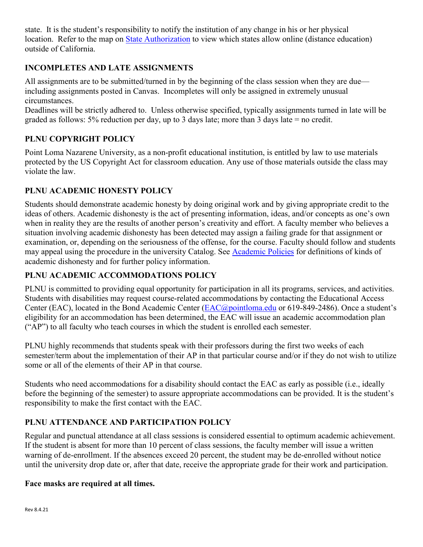state. It is the student's responsibility to notify the institution of any change in his or her physical location. Refer to the map on [State Authorization](https://www.pointloma.edu/offices/office-institutional-effectiveness-research/disclosures) to view which states allow online (distance education) outside of California.

### **INCOMPLETES AND LATE ASSIGNMENTS**

All assignments are to be submitted/turned in by the beginning of the class session when they are due including assignments posted in Canvas. Incompletes will only be assigned in extremely unusual circumstances.

Deadlines will be strictly adhered to. Unless otherwise specified, typically assignments turned in late will be graded as follows: 5% reduction per day, up to 3 days late; more than 3 days late = no credit.

## **PLNU COPYRIGHT POLICY**

Point Loma Nazarene University, as a non-profit educational institution, is entitled by law to use materials protected by the US Copyright Act for classroom education. Any use of those materials outside the class may violate the law.

## **PLNU ACADEMIC HONESTY POLICY**

Students should demonstrate academic honesty by doing original work and by giving appropriate credit to the ideas of others. Academic dishonesty is the act of presenting information, ideas, and/or concepts as one's own when in reality they are the results of another person's creativity and effort. A faculty member who believes a situation involving academic dishonesty has been detected may assign a failing grade for that assignment or examination, or, depending on the seriousness of the offense, for the course. Faculty should follow and students may appeal using the procedure in the university Catalog. See [Academic Policies](https://catalog.pointloma.edu/content.php?catoid=52&navoid=2919#Academic_Honesty) for definitions of kinds of academic dishonesty and for further policy information.

## **PLNU ACADEMIC ACCOMMODATIONS POLICY**

PLNU is committed to providing equal opportunity for participation in all its programs, services, and activities. Students with disabilities may request course-related accommodations by contacting the Educational Access Center (EAC), located in the Bond Academic Center [\(EAC@pointloma.edu](mailto:EAC@pointloma.edu) or 619-849-2486). Once a student's eligibility for an accommodation has been determined, the EAC will issue an academic accommodation plan ("AP") to all faculty who teach courses in which the student is enrolled each semester.

PLNU highly recommends that students speak with their professors during the first two weeks of each semester/term about the implementation of their AP in that particular course and/or if they do not wish to utilize some or all of the elements of their AP in that course.

Students who need accommodations for a disability should contact the EAC as early as possible (i.e., ideally before the beginning of the semester) to assure appropriate accommodations can be provided. It is the student's responsibility to make the first contact with the EAC.

### **PLNU ATTENDANCE AND PARTICIPATION POLICY**

Regular and punctual attendance at all class sessions is considered essential to optimum academic achievement. If the student is absent for more than 10 percent of class sessions, the faculty member will issue a written warning of de-enrollment. If the absences exceed 20 percent, the student may be de-enrolled without notice until the university drop date or, after that date, receive the appropriate grade for their work and participation.

#### **Face masks are required at all times.**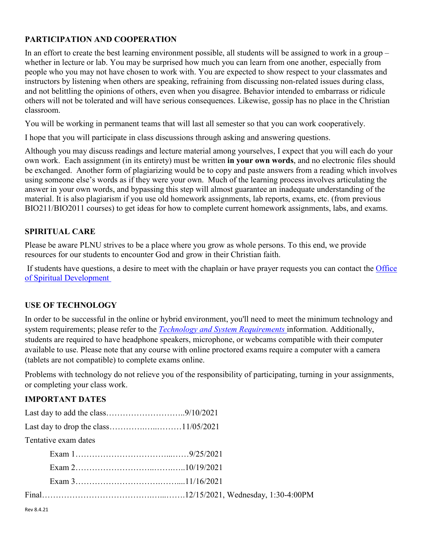#### **PARTICIPATION AND COOPERATION**

In an effort to create the best learning environment possible, all students will be assigned to work in a group – whether in lecture or lab. You may be surprised how much you can learn from one another, especially from people who you may not have chosen to work with. You are expected to show respect to your classmates and instructors by listening when others are speaking, refraining from discussing non-related issues during class, and not belittling the opinions of others, even when you disagree. Behavior intended to embarrass or ridicule others will not be tolerated and will have serious consequences. Likewise, gossip has no place in the Christian classroom.

You will be working in permanent teams that will last all semester so that you can work cooperatively.

I hope that you will participate in class discussions through asking and answering questions.

Although you may discuss readings and lecture material among yourselves, I expect that you will each do your own work. Each assignment (in its entirety) must be written **in your own words**, and no electronic files should be exchanged. Another form of plagiarizing would be to copy and paste answers from a reading which involves using someone else's words as if they were your own. Much of the learning process involves articulating the answer in your own words, and bypassing this step will almost guarantee an inadequate understanding of the material. It is also plagiarism if you use old homework assignments, lab reports, exams, etc. (from previous BIO211/BIO2011 courses) to get ideas for how to complete current homework assignments, labs, and exams.

#### **SPIRITUAL CARE**

Please be aware PLNU strives to be a place where you grow as whole persons. To this end, we provide resources for our students to encounter God and grow in their Christian faith.

If students have questions, a desire to meet with the chaplain or have prayer requests you can contact the [Office](https://www.pointloma.edu/offices/spiritual-development)  [of Spiritual Development](https://www.pointloma.edu/offices/spiritual-development)

### **USE OF TECHNOLOGY**

In order to be successful in the online or hybrid environment, you'll need to meet the minimum technology and system requirements; please refer to the *[Technology and System Requirements](https://help.pointloma.edu/TDClient/1808/Portal/KB/ArticleDet?ID=108349)* information. Additionally, students are required to have headphone speakers, microphone, or webcams compatible with their computer available to use. Please note that any course with online proctored exams require a computer with a camera (tablets are not compatible) to complete exams online.

Problems with technology do not relieve you of the responsibility of participating, turning in your assignments, or completing your class work.

## **IMPORTANT DATES**

| Tentative exam dates |  |  |  |  |  |  |
|----------------------|--|--|--|--|--|--|
|                      |  |  |  |  |  |  |
|                      |  |  |  |  |  |  |
|                      |  |  |  |  |  |  |
|                      |  |  |  |  |  |  |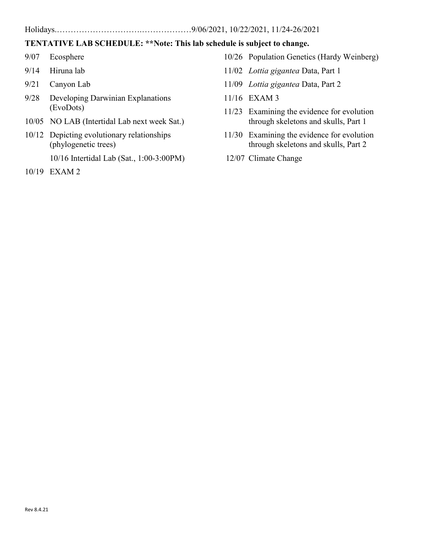#### Holidays.………………………….………………9/06/2021, 10/22/2021, 11/24-26/2021

### **TENTATIVE LAB SCHEDULE: \*\*Note: This lab schedule is subject to change.**

- 9/07 Ecosphere
- 9/14 Hiruna lab
- 9/21 Canyon Lab
- 9/28 Developing Darwinian Explanations (EvoDots)
- 10/05 NO LAB (Intertidal Lab next week Sat.)
- 10/12 Depicting evolutionary relationships (phylogenetic trees)

10/16 Intertidal Lab (Sat., 1:00-3:00PM)

10/19 EXAM 2

- 10/26 Population Genetics (Hardy Weinberg)
- 11/02 *Lottia gigantea* Data, Part 1
- 11/09 *Lottia gigantea* Data, Part 2
- 11/16 EXAM 3
- 11/23 Examining the evidence for evolution through skeletons and skulls, Part 1
- 11/30 Examining the evidence for evolution through skeletons and skulls, Part 2
- 12/07 Climate Change